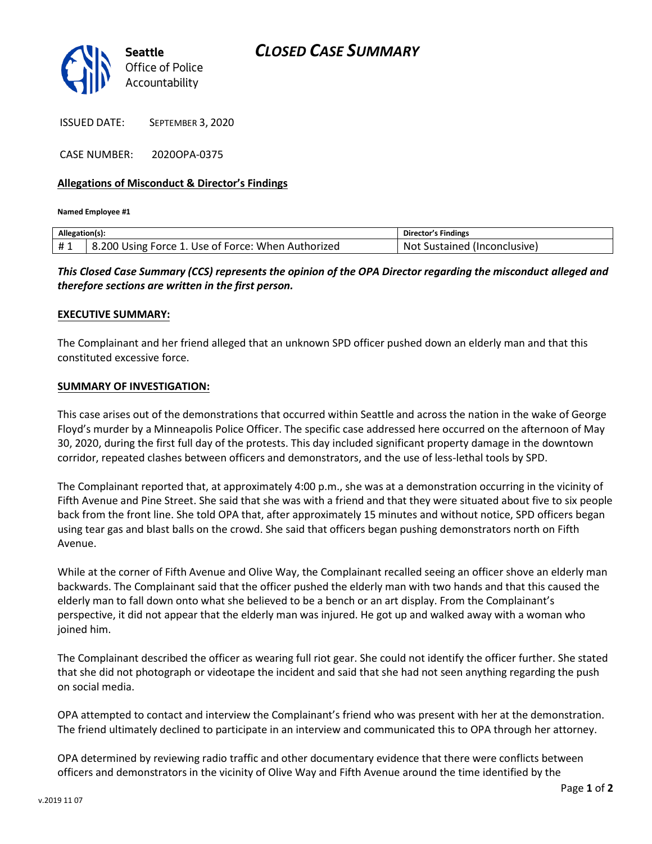

ISSUED DATE: SEPTEMBER 3, 2020

CASE NUMBER: 2020OPA-0375

### **Allegations of Misconduct & Director's Findings**

**Named Employee #1**

| Allegation(s): |                                                    | Director's Findings                 |
|----------------|----------------------------------------------------|-------------------------------------|
| #1             | 8.200 Using Force 1. Use of Force: When Authorized | - Not<br>t Sustained (Inconclusive) |

*This Closed Case Summary (CCS) represents the opinion of the OPA Director regarding the misconduct alleged and therefore sections are written in the first person.* 

#### **EXECUTIVE SUMMARY:**

The Complainant and her friend alleged that an unknown SPD officer pushed down an elderly man and that this constituted excessive force.

### **SUMMARY OF INVESTIGATION:**

This case arises out of the demonstrations that occurred within Seattle and across the nation in the wake of George Floyd's murder by a Minneapolis Police Officer. The specific case addressed here occurred on the afternoon of May 30, 2020, during the first full day of the protests. This day included significant property damage in the downtown corridor, repeated clashes between officers and demonstrators, and the use of less-lethal tools by SPD.

The Complainant reported that, at approximately 4:00 p.m., she was at a demonstration occurring in the vicinity of Fifth Avenue and Pine Street. She said that she was with a friend and that they were situated about five to six people back from the front line. She told OPA that, after approximately 15 minutes and without notice, SPD officers began using tear gas and blast balls on the crowd. She said that officers began pushing demonstrators north on Fifth Avenue.

While at the corner of Fifth Avenue and Olive Way, the Complainant recalled seeing an officer shove an elderly man backwards. The Complainant said that the officer pushed the elderly man with two hands and that this caused the elderly man to fall down onto what she believed to be a bench or an art display. From the Complainant's perspective, it did not appear that the elderly man was injured. He got up and walked away with a woman who joined him.

The Complainant described the officer as wearing full riot gear. She could not identify the officer further. She stated that she did not photograph or videotape the incident and said that she had not seen anything regarding the push on social media.

OPA attempted to contact and interview the Complainant's friend who was present with her at the demonstration. The friend ultimately declined to participate in an interview and communicated this to OPA through her attorney.

OPA determined by reviewing radio traffic and other documentary evidence that there were conflicts between officers and demonstrators in the vicinity of Olive Way and Fifth Avenue around the time identified by the